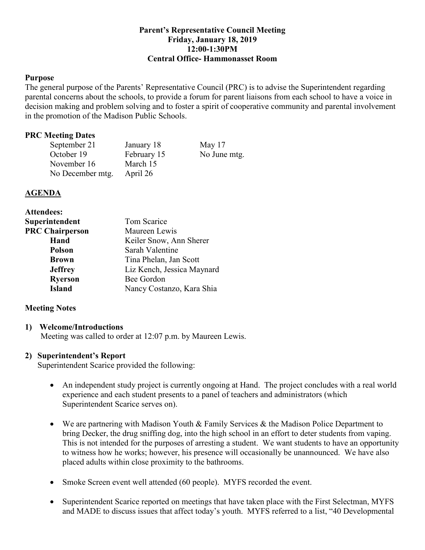# **Parent's Representative Council Meeting Friday, January 18, 2019 12:00-1:30PM Central Office- Hammonasset Room**

#### **Purpose**

The general purpose of the Parents' Representative Council (PRC) is to advise the Superintendent regarding parental concerns about the schools, to provide a forum for parent liaisons from each school to have a voice in decision making and problem solving and to foster a spirit of cooperative community and parental involvement in the promotion of the Madison Public Schools.

#### **PRC Meeting Dates**

| September 21     | January 18  | May $17$     |
|------------------|-------------|--------------|
| October 19       | February 15 | No June mtg. |
| November 16      | March 15    |              |
| No December mtg. | April 26    |              |

#### **AGENDA**

| <b>Attendees:</b>      |                            |  |
|------------------------|----------------------------|--|
| Superintendent         | Tom Scarice                |  |
| <b>PRC Chairperson</b> | Maureen Lewis              |  |
| Hand                   | Keiler Snow, Ann Sherer    |  |
| <b>Polson</b>          | Sarah Valentine            |  |
| <b>Brown</b>           | Tina Phelan, Jan Scott     |  |
| <b>Jeffrey</b>         | Liz Kench, Jessica Maynard |  |
| <b>Ryerson</b>         | Bee Gordon                 |  |
| <b>Island</b>          | Nancy Costanzo, Kara Shia  |  |

### **Meeting Notes**

#### **1) Welcome/Introductions**

Meeting was called to order at 12:07 p.m. by Maureen Lewis.

### **2) Superintendent's Report**

Superintendent Scarice provided the following:

- An independent study project is currently ongoing at Hand. The project concludes with a real world experience and each student presents to a panel of teachers and administrators (which Superintendent Scarice serves on).
- We are partnering with Madison Youth & Family Services & the Madison Police Department to bring Decker, the drug sniffing dog, into the high school in an effort to deter students from vaping. This is not intended for the purposes of arresting a student. We want students to have an opportunity to witness how he works; however, his presence will occasionally be unannounced. We have also placed adults within close proximity to the bathrooms.
- Smoke Screen event well attended (60 people). MYFS recorded the event.
- Superintendent Scarice reported on meetings that have taken place with the First Selectman, MYFS and MADE to discuss issues that affect today's youth. MYFS referred to a list, "40 Developmental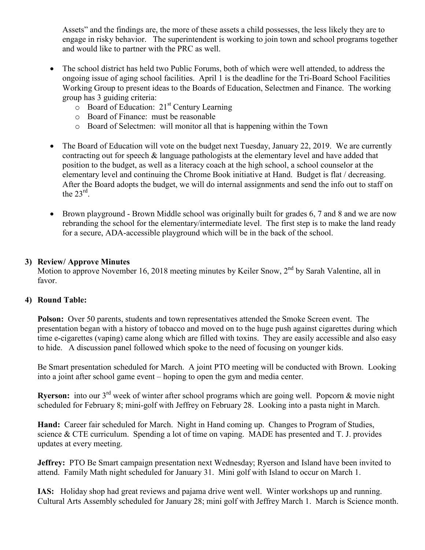Assets" and the findings are, the more of these assets a child possesses, the less likely they are to engage in risky behavior. The superintendent is working to join town and school programs together and would like to partner with the PRC as well.

- The school district has held two Public Forums, both of which were well attended, to address the ongoing issue of aging school facilities. April 1 is the deadline for the Tri-Board School Facilities Working Group to present ideas to the Boards of Education, Selectmen and Finance. The working group has 3 guiding criteria:
	- $\circ$  Board of Education: 21<sup>st</sup> Century Learning
	- o Board of Finance: must be reasonable
	- o Board of Selectmen: will monitor all that is happening within the Town
- The Board of Education will vote on the budget next Tuesday, January 22, 2019. We are currently contracting out for speech & language pathologists at the elementary level and have added that position to the budget, as well as a literacy coach at the high school, a school counselor at the elementary level and continuing the Chrome Book initiative at Hand. Budget is flat / decreasing. After the Board adopts the budget, we will do internal assignments and send the info out to staff on the  $23^{\text{rd}}$ .
- Brown playground Brown Middle school was originally built for grades 6, 7 and 8 and we are now rebranding the school for the elementary/intermediate level. The first step is to make the land ready for a secure, ADA-accessible playground which will be in the back of the school.

# **3) Review/ Approve Minutes**

Motion to approve November 16, 2018 meeting minutes by Keiler Snow,  $2<sup>nd</sup>$  by Sarah Valentine, all in favor.

# **4) Round Table:**

**Polson:** Over 50 parents, students and town representatives attended the Smoke Screen event. The presentation began with a history of tobacco and moved on to the huge push against cigarettes during which time e-cigarettes (vaping) came along which are filled with toxins. They are easily accessible and also easy to hide. A discussion panel followed which spoke to the need of focusing on younger kids.

Be Smart presentation scheduled for March. A joint PTO meeting will be conducted with Brown. Looking into a joint after school game event – hoping to open the gym and media center.

**Ryerson:** into our 3<sup>rd</sup> week of winter after school programs which are going well. Popcorn & movie night scheduled for February 8; mini-golf with Jeffrey on February 28. Looking into a pasta night in March.

**Hand:** Career fair scheduled for March. Night in Hand coming up. Changes to Program of Studies, science & CTE curriculum. Spending a lot of time on vaping. MADE has presented and T. J. provides updates at every meeting.

**Jeffrey:** PTO Be Smart campaign presentation next Wednesday; Ryerson and Island have been invited to attend. Family Math night scheduled for January 31. Mini golf with Island to occur on March 1.

**IAS:** Holiday shop had great reviews and pajama drive went well. Winter workshops up and running. Cultural Arts Assembly scheduled for January 28; mini golf with Jeffrey March 1. March is Science month.